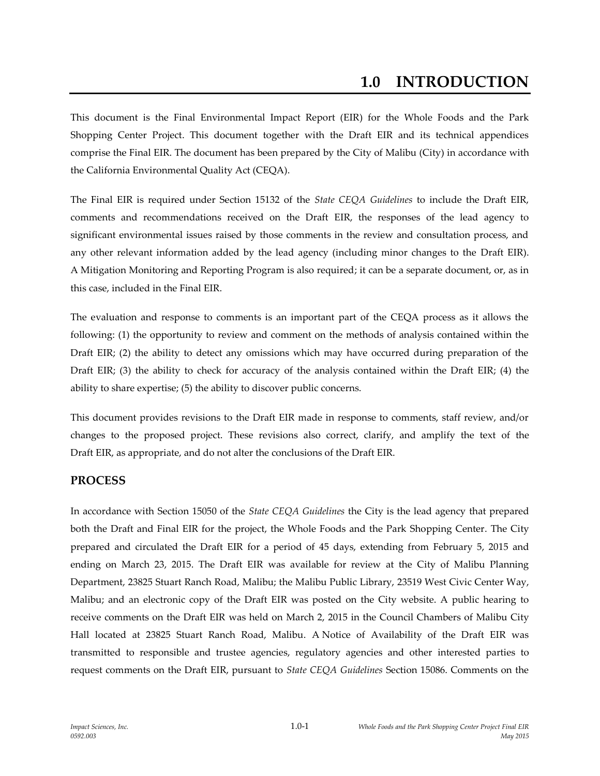## **1.0 INTRODUCTION**

This document is the Final Environmental Impact Report (EIR) for the Whole Foods and the Park Shopping Center Project. This document together with the Draft EIR and its technical appendices comprise the Final EIR. The document has been prepared by the City of Malibu (City) in accordance with the California Environmental Quality Act (CEQA).

The Final EIR is required under Section 15132 of the *State CEQA Guidelines* to include the Draft EIR, comments and recommendations received on the Draft EIR, the responses of the lead agency to significant environmental issues raised by those comments in the review and consultation process, and any other relevant information added by the lead agency (including minor changes to the Draft EIR). A Mitigation Monitoring and Reporting Program is also required; it can be a separate document, or, as in this case, included in the Final EIR.

The evaluation and response to comments is an important part of the CEQA process as it allows the following: (1) the opportunity to review and comment on the methods of analysis contained within the Draft EIR; (2) the ability to detect any omissions which may have occurred during preparation of the Draft EIR; (3) the ability to check for accuracy of the analysis contained within the Draft EIR; (4) the ability to share expertise; (5) the ability to discover public concerns.

This document provides revisions to the Draft EIR made in response to comments, staff review, and/or changes to the proposed project. These revisions also correct, clarify, and amplify the text of the Draft EIR, as appropriate, and do not alter the conclusions of the Draft EIR.

## **PROCESS**

In accordance with Section 15050 of the *State CEQA Guidelines* the City is the lead agency that prepared both the Draft and Final EIR for the project, the Whole Foods and the Park Shopping Center. The City prepared and circulated the Draft EIR for a period of 45 days, extending from February 5, 2015 and ending on March 23, 2015. The Draft EIR was available for review at the City of Malibu Planning Department, 23825 Stuart Ranch Road, Malibu; the Malibu Public Library, 23519 West Civic Center Way, Malibu; and an electronic copy of the Draft EIR was posted on the City website. A public hearing to receive comments on the Draft EIR was held on March 2, 2015 in the Council Chambers of Malibu City Hall located at 23825 Stuart Ranch Road, Malibu. A Notice of Availability of the Draft EIR was transmitted to responsible and trustee agencies, regulatory agencies and other interested parties to request comments on the Draft EIR, pursuant to *State CEQA Guidelines* Section 15086. Comments on the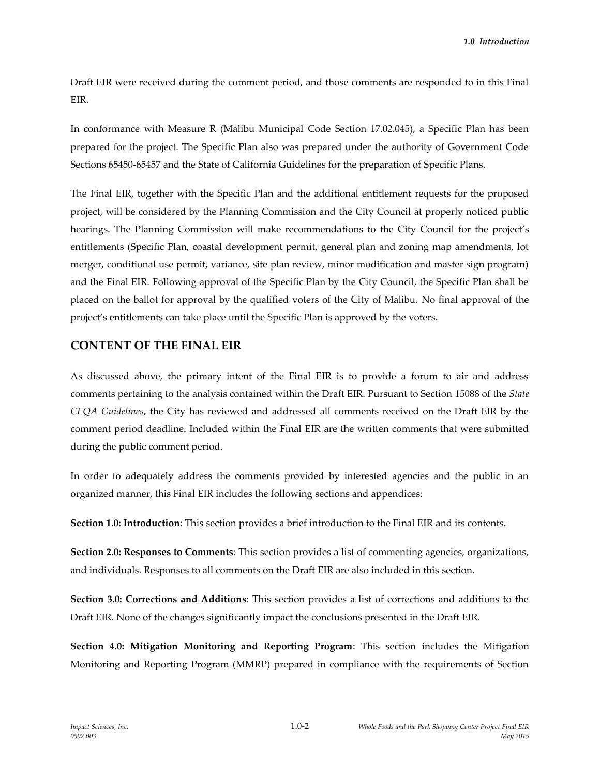Draft EIR were received during the comment period, and those comments are responded to in this Final EIR.

In conformance with Measure R (Malibu Municipal Code Section 17.02.045), a Specific Plan has been prepared for the project. The Specific Plan also was prepared under the authority of Government Code Sections 65450-65457 and the State of California Guidelines for the preparation of Specific Plans.

The Final EIR, together with the Specific Plan and the additional entitlement requests for the proposed project, will be considered by the Planning Commission and the City Council at properly noticed public hearings. The Planning Commission will make recommendations to the City Council for the project's entitlements (Specific Plan, coastal development permit, general plan and zoning map amendments, lot merger, conditional use permit, variance, site plan review, minor modification and master sign program) and the Final EIR. Following approval of the Specific Plan by the City Council, the Specific Plan shall be placed on the ballot for approval by the qualified voters of the City of Malibu. No final approval of the project's entitlements can take place until the Specific Plan is approved by the voters.

## **CONTENT OF THE FINAL EIR**

As discussed above, the primary intent of the Final EIR is to provide a forum to air and address comments pertaining to the analysis contained within the Draft EIR. Pursuant to Section 15088 of the *State CEQA Guidelines*, the City has reviewed and addressed all comments received on the Draft EIR by the comment period deadline. Included within the Final EIR are the written comments that were submitted during the public comment period.

In order to adequately address the comments provided by interested agencies and the public in an organized manner, this Final EIR includes the following sections and appendices:

**Section 1.0: Introduction**: This section provides a brief introduction to the Final EIR and its contents.

**Section 2.0: Responses to Comments**: This section provides a list of commenting agencies, organizations, and individuals. Responses to all comments on the Draft EIR are also included in this section.

**Section 3.0: Corrections and Additions**: This section provides a list of corrections and additions to the Draft EIR. None of the changes significantly impact the conclusions presented in the Draft EIR.

**Section 4.0: Mitigation Monitoring and Reporting Program**: This section includes the Mitigation Monitoring and Reporting Program (MMRP) prepared in compliance with the requirements of Section